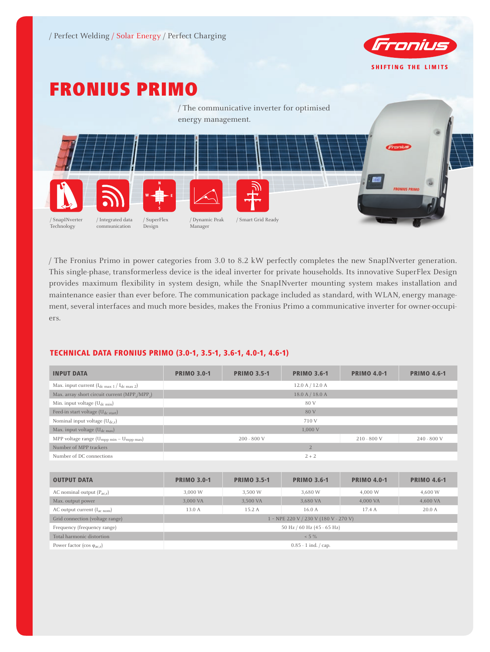

# Fronius Primo



/ The Fronius Primo in power categories from 3.0 to 8.2 kW perfectly completes the new SnapINverter generation. This single-phase, transformerless device is the ideal inverter for private households. Its innovative SuperFlex Design provides maximum flexibility in system design, while the SnapINverter mounting system makes installation and maintenance easier than ever before. The communication package included as standard, with WLAN, energy management, several interfaces and much more besides, makes the Fronius Primo a communicative inverter for owner-occupiers.

# TECHNICAL DATA FRONIUS PRIMO (3.0-1, 3.5-1, 3.6-1, 4.0-1, 4.6-1)

| <b>INPUT DATA</b>                                         | <b>PRIMO 3.0-1</b>                              | <b>PRIMO 3.5-1</b> | <b>PRIMO 3.6-1</b>  | <b>PRIMO 4.0-1</b> | <b>PRIMO 4.6-1</b> |  |
|-----------------------------------------------------------|-------------------------------------------------|--------------------|---------------------|--------------------|--------------------|--|
| Max. input current $(I_{dc \max 1}/I_{dc \max 2})$        |                                                 |                    | $12.0$ A $/$ 12.0 A |                    |                    |  |
| Max. array short circuit current (MPP,/MPP <sub>2</sub> ) |                                                 |                    | 18.0 A / 18.0 A     |                    |                    |  |
| Min. input voltage $(U_{dc,min})$                         |                                                 |                    | 80 V                |                    |                    |  |
| Feed-in start voltage (U <sub>dc start</sub> )            |                                                 |                    | 80 V                |                    |                    |  |
| Nominal input voltage $(U_{dc,r})$                        |                                                 |                    | 710 V               |                    |                    |  |
| Max. input voltage $(U_{dc\ max})$                        |                                                 |                    | 1,000 V             |                    |                    |  |
| MPP voltage range $(U_{mpp \ min} - U_{mpp \ max})$       | $200 - 800$ V<br>$210 - 800$ V<br>$240 - 800$ V |                    |                     |                    |                    |  |
| Number of MPP trackers                                    |                                                 |                    |                     |                    |                    |  |
| Number of DC connections                                  |                                                 |                    | $2 + 2$             |                    |                    |  |

| <b>OUTPUT DATA</b>                          | <b>PRIMO 3.0-1</b>                                | <b>PRIMO 3.5-1</b> | <b>PRIMO 3.6-1</b> | <b>PRIMO 4.0-1</b> | <b>PRIMO 4.6-1</b> |  |  |
|---------------------------------------------|---------------------------------------------------|--------------------|--------------------|--------------------|--------------------|--|--|
| AC nominal output $(P_{ac,r})$              | 3,000 W                                           | 3,500 W            | 3,680 W            | 4,000 W            | 4,600 W            |  |  |
| Max. output power                           | 3,000 VA                                          | 3,500 VA           | 3,680 VA           | 4,000 VA           | 4,600 VA           |  |  |
| AC output current $(I_{ac\; nom})$          | 13.0 A                                            | 15.2 A             | 16.0 A             | 17.4A              | 20.0A              |  |  |
| Grid connection (voltage range)             | 1 ~ NPE 220 V / 230 V (180 V - 270 V)             |                    |                    |                    |                    |  |  |
| Frequency (frequency range)                 | 50 Hz / 60 Hz (45 - 65 Hz)                        |                    |                    |                    |                    |  |  |
| Total harmonic distortion                   | $< 5 \%$                                          |                    |                    |                    |                    |  |  |
| Power factor (cos $\varphi_{\text{ac,r}}$ ) | $0.85 - 1$ ind. $\frac{\text{cap.}}{\text{cap.}}$ |                    |                    |                    |                    |  |  |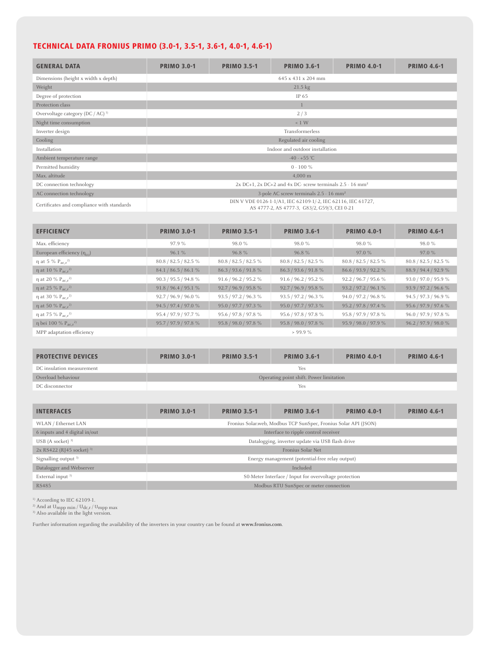# TECHNICAL DATA FRONIUS PRIMO (3.0-1, 3.5-1, 3.6-1, 4.0-1, 4.6-1)

| <b>GENERAL DATA</b>                          | <b>PRIMO 3.0-1</b>                                                          | <b>PRIMO 3.5-1</b> | <b>PRIMO 3.6-1</b>                                                                                           | <b>PRIMO 4.0-1</b> | <b>PRIMO 4.6-1</b> |  |
|----------------------------------------------|-----------------------------------------------------------------------------|--------------------|--------------------------------------------------------------------------------------------------------------|--------------------|--------------------|--|
| Dimensions (height x width x depth)          |                                                                             |                    | 645 x 431 x 204 mm                                                                                           |                    |                    |  |
| Weight                                       |                                                                             |                    | $21.5 \text{ kg}$                                                                                            |                    |                    |  |
| Degree of protection                         |                                                                             |                    | IP 65                                                                                                        |                    |                    |  |
| Protection class                             |                                                                             |                    |                                                                                                              |                    |                    |  |
| Overvoltage category (DC / AC) <sup>1)</sup> |                                                                             |                    | 2/3                                                                                                          |                    |                    |  |
| Night time consumption                       |                                                                             |                    | < 1 W                                                                                                        |                    |                    |  |
| Inverter design                              |                                                                             |                    | Transformerless                                                                                              |                    |                    |  |
| Cooling                                      |                                                                             |                    | Regulated air cooling                                                                                        |                    |                    |  |
| Installation                                 |                                                                             |                    | Indoor and outdoor installation                                                                              |                    |                    |  |
| Ambient temperature range                    |                                                                             |                    | $-40 - +55$ °C                                                                                               |                    |                    |  |
| Permitted humidity                           |                                                                             |                    | $0 - 100 \%$                                                                                                 |                    |                    |  |
| Max. altitude                                |                                                                             |                    | $4,000 \; \mathrm{m}$                                                                                        |                    |                    |  |
| DC connection technology                     | $2x$ DC+1, $2x$ DC+2 and $4x$ DC-screw terminals $2.5 - 16$ mm <sup>2</sup> |                    |                                                                                                              |                    |                    |  |
| AC connection technology                     |                                                                             |                    | 3-pole AC screw terminals 2.5 - 16 mm <sup>2</sup>                                                           |                    |                    |  |
| Certificates and compliance with standards   |                                                                             |                    | DIN V VDE 0126-1-1/A1, IEC 62109-1/-2, IEC 62116, IEC 61727,<br>AS 4777-2, AS 4777-3, G83/2, G59/3, CEI 0-21 |                    |                    |  |

| <b>EFFICIENCY</b>                         | <b>PRIMO 3.0-1</b>   | <b>PRIMO 3.5-1</b>   | <b>PRIMO 3.6-1</b>   | <b>PRIMO 4.0-1</b>   | <b>PRIMO 4.6-1</b>   |
|-------------------------------------------|----------------------|----------------------|----------------------|----------------------|----------------------|
| Max. efficiency                           | 97.9%                | 98.0%                | 98.0 %               | 98.0 %               | 98.0 %               |
| European efficiency $(\eta_{\text{ext}})$ | 96.1%                | 96.8%                | 96.8%                | 97.0%                | 97.0%                |
| $\eta$ at 5 % $P_{\text{ac}}r^{2}$        | 80.8 / 82.5 / 82.5 % | 80.8 / 82.5 / 82.5 % | 80.8 / 82.5 / 82.5 % | 80.8 / 82.5 / 82.5 % | 80.8 / 82.5 / 82.5 % |
| $\eta$ at 10 % $P_{\text{ac}}r^{2}$       | 84.1 / 86.5 / 86.1 % | 86.3 / 93.6 / 91.8 % | 86.3 / 93.6 / 91.8 % | 86.6 / 93.9 / 92.2 % | 88.9 / 94.4 / 92.9 % |
| η at 20 % $P_{ac.r}$ <sup>2)</sup>        | 90.3 / 95.5 / 94.8 % | 91.6 / 96.2 / 95.2 % | 91.6 / 96.2 / 95.2 % | 92.2 / 96.7 / 95.6 % | 93.0 / 97.0 / 95.9 % |
| $\eta$ at 25 % $P_{ac.r}^{2}$             | 91.8 / 96.4 / 95.1 % | 92.7 / 96.9 / 95.8 % | 92.7 / 96.9 / 95.8 % | 93.2 / 97.2 / 96.1 % | 93.9 / 97.2 / 96.6 % |
| η at 30 % $P_{ac.r}$ <sup>2)</sup>        | 92.7 / 96.9 / 96.0 % | 93.5 / 97.2 / 96.3 % | 93.5 / 97.2 / 96.3 % | 94.0 / 97.2 / 96.8 % | 94.5 / 97.3 / 96.9 % |
| $\eta$ at 50 % $P_{\text{acc}}{}^{2}$     | 94.5 / 97.4 / 97.0 % | 95.0 / 97.7 / 97.3 % | 95.0 / 97.7 / 97.3 % | 95.2 / 97.8 / 97.4 % | 95.6 / 97.9 / 97.6 % |
| η at 75 % $P_{ac.r}^{2}$                  | 95.4 / 97.9 / 97.7 % | 95.6 / 97.8 / 97.8 % | 95.6 / 97.8 / 97.8 % | 95.8 / 97.9 / 97.8 % | 96.0 / 97.9 / 97.8 % |
| $\eta$ bei 100 % $P_{acc}^{2}$            | 95.7 / 97.9 / 97.8 % | 95.8 / 98.0 / 97.8 % | 95.8 / 98.0 / 97.8 % | 95.9 / 98.0 / 97.9 % | 96.2 / 97.9 / 98.0 % |
| MPP adaptation efficiency                 |                      |                      | $> 99.9\%$           |                      |                      |

| <b>PROTECTIVE DEVICES</b> | <b>PRIMO 3.0-1</b>                      | <b>PRIMO 3.5-1</b> | <b>PRIMO 3.6-1</b> | <b>PRIMO 4.0-1</b> | <b>PRIMO 4.6-1</b> |  |  |
|---------------------------|-----------------------------------------|--------------------|--------------------|--------------------|--------------------|--|--|
| DC insulation measurement | Yes                                     |                    |                    |                    |                    |  |  |
| Overload behaviour        | Operating point shift. Power limitation |                    |                    |                    |                    |  |  |
| DC disconnector           | Yes                                     |                    |                    |                    |                    |  |  |

| <b>INTERFACES</b>                      | <b>PRIMO 3.0-1</b>                                    | <b>PRIMO 3.5-1</b>                     | <b>PRIMO 3.6-1</b>                                              | <b>PRIMO 4.0-1</b> | <b>PRIMO 4.6-1</b> |  |  |
|----------------------------------------|-------------------------------------------------------|----------------------------------------|-----------------------------------------------------------------|--------------------|--------------------|--|--|
| WLAN / Ethernet LAN                    |                                                       |                                        | Fronius Solar.web, Modbus TCP SunSpec, Fronius Solar API (JSON) |                    |                    |  |  |
| 6 inputs and 4 digital in/out          |                                                       |                                        | Interface to ripple control receiver                            |                    |                    |  |  |
| USB (A socket) $3$                     |                                                       |                                        | Datalogging, inverter update via USB flash drive                |                    |                    |  |  |
| $2x$ RS422 (RJ45 socket) <sup>3)</sup> |                                                       |                                        | Fronius Solar Net                                               |                    |                    |  |  |
| Signalling output $3$                  |                                                       |                                        | Energy management (potential-free relay output)                 |                    |                    |  |  |
| Datalogger and Webserver               |                                                       | Included                               |                                                                 |                    |                    |  |  |
| External input <sup>3)</sup>           | S0-Meter Interface / Input for overvoltage protection |                                        |                                                                 |                    |                    |  |  |
| <b>RS485</b>                           |                                                       | Modbus RTU SunSpec or meter connection |                                                                 |                    |                    |  |  |

1) According to IEC 62109-1.

<sup>2)</sup> And at Umpp min / Udc,r / Umpp max<br><sup>3)</sup> Also available in the light version.

Further information regarding the availability of the inverters in your country can be found at **www.fronius.com**.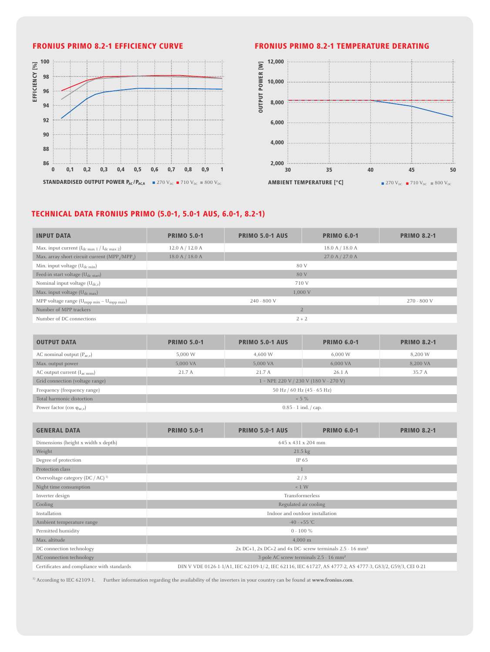

# FRONIUS Primo 8.2-1 Efficiency curve FRONIUS Primo 8.2-1 Temperature derating



## TECHNICAL DATA FRONIUS PRIMO (5.0-1, 5.0-1 AUS, 6.0-1, 8.2-1)

| <b>INPUT DATA</b>                                         | <b>PRIMO 5.0-1</b>             | <b>PRIMO 5.0-1 AUS</b> | <b>PRIMO 6.0-1</b> | <b>PRIMO 8.2-1</b> |  |  |  |
|-----------------------------------------------------------|--------------------------------|------------------------|--------------------|--------------------|--|--|--|
| Max. input current $(I_{dc \max 1}/I_{dc \max 2})$        | 12.0 A / 12.0 A                |                        | 18.0 A / 18.0 A    |                    |  |  |  |
| Max. array short circuit current (MPP,/MPP <sub>2</sub> ) | 18.0 A / 18.0 A                |                        | 27.0 A / 27.0 A    |                    |  |  |  |
| Min. input voltage $(U_{dc,min})$                         | 80 V                           |                        |                    |                    |  |  |  |
| Feed-in start voltage (U <sub>dc start</sub> )            |                                | 80 V                   |                    |                    |  |  |  |
| Nominal input voltage $(U_{dc,r})$                        |                                | 710 V                  |                    |                    |  |  |  |
| Max. input voltage (U <sub>dc max</sub> )                 |                                | 1.000 V                |                    |                    |  |  |  |
| MPP voltage range $(U_{mpp \ min} - U_{mpp \ max})$       | $240 - 800$ V<br>$270 - 800$ V |                        |                    |                    |  |  |  |
| Number of MPP trackers                                    | $\overline{2}$                 |                        |                    |                    |  |  |  |
| Number of DC connections                                  | $2 + 2$                        |                        |                    |                    |  |  |  |

| <b>OUTPUT DATA</b>                          | <b>PRIMO 5.0-1</b>                                | <b>PRIMO 5.0-1 AUS</b> | <b>PRIMO 6.0-1</b> | <b>PRIMO 8.2-1</b> |  |  |
|---------------------------------------------|---------------------------------------------------|------------------------|--------------------|--------------------|--|--|
| AC nominal output $(P_{ac,r})$              | 5,000 W                                           | 4,600 W                | 6,000 W            | 8,200 W            |  |  |
| Max. output power                           | 5,000 VA                                          | 5,000 VA               | 6,000 VA           | 8,200 VA           |  |  |
| AC output current $(I_{ac\; nom})$          | 21.7 A                                            | 21.7 A                 | 26.1A              | 35.7 A             |  |  |
| Grid connection (voltage range)             | $1 \sim$ NPE 220 V / 230 V (180 V - 270 V)        |                        |                    |                    |  |  |
| Frequency (frequency range)                 | 50 Hz / 60 Hz (45 - 65 Hz)                        |                        |                    |                    |  |  |
| Total harmonic distortion                   | $< 5 \%$                                          |                        |                    |                    |  |  |
| Power factor (cos $\varphi_{\text{ac,r}}$ ) | $0.85 - 1$ ind. $\frac{\text{cap.}}{\text{cap.}}$ |                        |                    |                    |  |  |

| <b>GENERAL DATA</b>                          | <b>PRIMO 5.0-1</b>                                                          | <b>PRIMO 5.0-1 AUS</b>                                                                                    | <b>PRIMO 6.0-1</b>                                 | <b>PRIMO 8.2-1</b> |  |  |
|----------------------------------------------|-----------------------------------------------------------------------------|-----------------------------------------------------------------------------------------------------------|----------------------------------------------------|--------------------|--|--|
| Dimensions (height x width x depth)          |                                                                             |                                                                                                           | 645 x 431 x 204 mm                                 |                    |  |  |
| Weight                                       |                                                                             |                                                                                                           | $21.5 \text{ kg}$                                  |                    |  |  |
| Degree of protection                         |                                                                             |                                                                                                           | IP 65                                              |                    |  |  |
| Protection class                             |                                                                             |                                                                                                           |                                                    |                    |  |  |
| Overvoltage category (DC / AC) <sup>1)</sup> |                                                                             |                                                                                                           | 2/3                                                |                    |  |  |
| Night time consumption                       |                                                                             |                                                                                                           | < 1 W                                              |                    |  |  |
| Inverter design                              |                                                                             |                                                                                                           | Transformerless                                    |                    |  |  |
| Cooling                                      |                                                                             |                                                                                                           | Regulated air cooling                              |                    |  |  |
| Installation                                 |                                                                             |                                                                                                           | Indoor and outdoor installation                    |                    |  |  |
| Ambient temperature range                    |                                                                             |                                                                                                           | $-40 - +55$ °C                                     |                    |  |  |
| Permitted humidity                           |                                                                             |                                                                                                           | $0 - 100 \%$                                       |                    |  |  |
| Max. altitude                                | $4,000 \; \mathrm{m}$                                                       |                                                                                                           |                                                    |                    |  |  |
| DC connection technology                     | $2x$ DC+1, $2x$ DC+2 and $4x$ DC-screw terminals $2.5 - 16$ mm <sup>2</sup> |                                                                                                           |                                                    |                    |  |  |
| AC connection technology                     |                                                                             |                                                                                                           | 3-pole AC screw terminals 2.5 - 16 mm <sup>2</sup> |                    |  |  |
| Certificates and compliance with standards   |                                                                             | DIN V VDE 0126-1-1/A1, IEC 62109-1/-2, IEC 62116, IEC 61727, AS 4777-2, AS 4777-3, G83/2, G59/3, CEI 0-21 |                                                    |                    |  |  |

1) According to IEC 62109-1. Further information regarding the availability of the inverters in your country can be found at **www.fronius.com**.